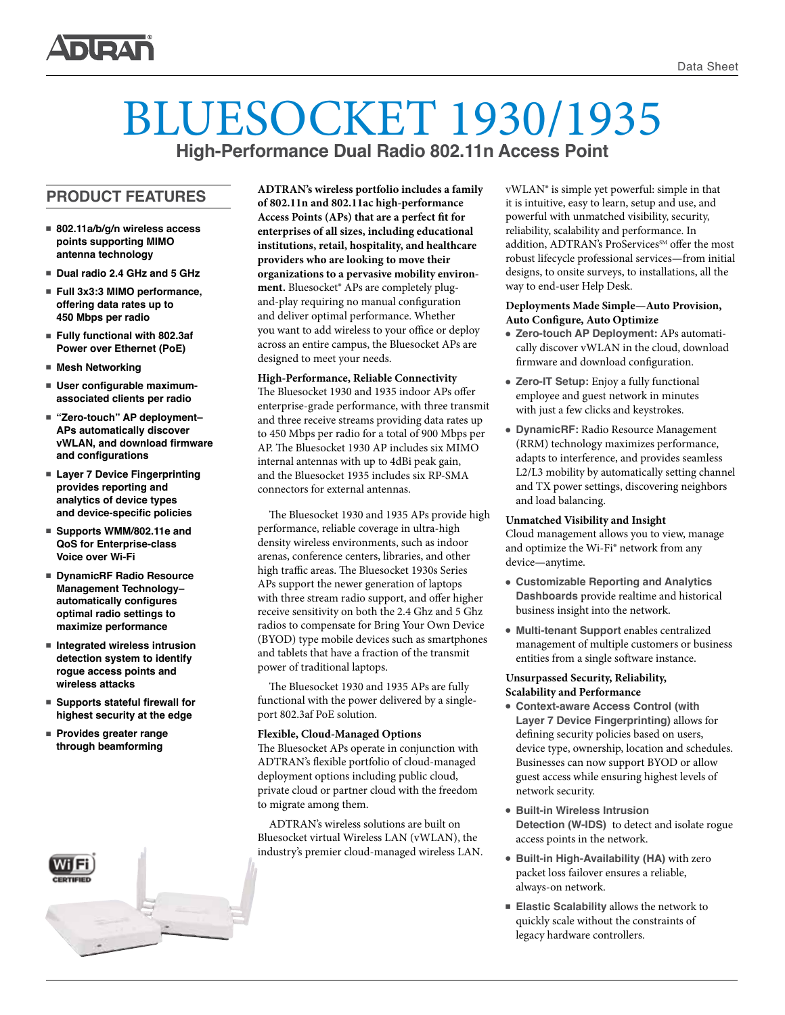

## BLUESOCKET 1930/1935 **High-Performance Dual Radio 802.11n Access Point**

**PRODUCT FEATURES** 

- 802.11a/b/g/n wireless access **points supporting MIMO antenna technology**
- Dual radio 2.4 GHz and 5 GHz
- Full 3x3:3 MIMO performance, **offering data rates up to 450 Mbps per radio**
- Fully functional with 802.3af **Power over Ethernet (PoE)**
- Mesh Networking
- User configurable maximum**associated clients per radio**
- "Zero-touch" AP deployment-**APs automatically discover vWLAN, and download firmware and configurations**
- Layer 7 Device Fingerprinting **provides reporting and analytics of device types and device-specific policies**
- Supports WMM/802.11e and **QoS for Enterprise-class Voice over Wi-Fi**
- DynamicRF Radio Resource **Management Technology– automatically configures optimal radio settings to maximize performance**
- Integrated wireless intrusion **detection system to identify rogue access points and wireless attacks**
- Supports stateful firewall for **highest security at the edge**
- **Provides greater range through beamforming**

**ADTRAN's wireless portfolio includes a family of 802.11n and 802.11ac high-performance Access Points (APs) that are a perfect fit for enterprises of all sizes, including educational institutions, retail, hospitality, and healthcare providers who are looking to move their organizations to a pervasive mobility environment.** Bluesocket® APs are completely plugand-play requiring no manual configuration and deliver optimal performance. Whether you want to add wireless to your office or deploy across an entire campus, the Bluesocket APs are designed to meet your needs.

#### **High-Performance, Reliable Connectivity**  The Bluesocket 1930 and 1935 indoor APs offer enterprise-grade performance, with three transmit and three receive streams providing data rates up to 450 Mbps per radio for a total of 900 Mbps per AP. The Bluesocket 1930 AP includes six MIMO internal antennas with up to 4dBi peak gain, and the Bluesocket 1935 includes six RP-SMA connectors for external antennas.

The Bluesocket 1930 and 1935 APs provide high performance, reliable coverage in ultra-high density wireless environments, such as indoor arenas, conference centers, libraries, and other high traffic areas. The Bluesocket 1930s Series APs support the newer generation of laptops with three stream radio support, and offer higher receive sensitivity on both the 2.4 Ghz and 5 Ghz radios to compensate for Bring Your Own Device (BYOD) type mobile devices such as smartphones and tablets that have a fraction of the transmit power of traditional laptops.

The Bluesocket 1930 and 1935 APs are fully functional with the power delivered by a singleport 802.3af PoE solution.

#### **Flexible, Cloud-Managed Options**

The Bluesocket APs operate in conjunction with ADTRAN's flexible portfolio of cloud-managed deployment options including public cloud, private cloud or partner cloud with the freedom to migrate among them.

ADTRAN's wireless solutions are built on Bluesocket virtual Wireless LAN (vWLAN), the industry's premier cloud-managed wireless LAN. vWLAN® is simple yet powerful: simple in that it is intuitive, easy to learn, setup and use, and powerful with unmatched visibility, security, reliability, scalability and performance. In addition, ADTRAN's ProServices<sup>SM</sup> offer the most robust lifecycle professional services—from initial designs, to onsite surveys, to installations, all the way to end-user Help Desk.

#### **Deployments Made Simple—Auto Provision, Auto Configure, Auto Optimize**

- **Zero-touch AP Deployment:** APs automatically discover vWLAN in the cloud, download firmware and download configuration.
- **Zero-IT Setup:** Enjoy a fully functional employee and guest network in minutes with just a few clicks and keystrokes.
- **DynamicRF:** Radio Resource Management (RRM) technology maximizes performance, adapts to interference, and provides seamless L2/L3 mobility by automatically setting channel and TX power settings, discovering neighbors and load balancing.

#### **Unmatched Visibility and Insight**

Cloud management allows you to view, manage and optimize the Wi-Fi® network from any device—anytime.

- <sup>l</sup> **Customizable Reporting and Analytics Dashboards** provide realtime and historical business insight into the network.
- <sup>l</sup> **Multi-tenant Support** enables centralized management of multiple customers or business entities from a single software instance.

#### **Unsurpassed Security, Reliability, Scalability and Performance**

- **Context-aware Access Control (with Layer 7 Device Fingerprinting)** allows for defining security policies based on users, device type, ownership, location and schedules. Businesses can now support BYOD or allow guest access while ensuring highest levels of network security.
- **Built-in Wireless Intrusion Detection (W-IDS)** to detect and isolate rogue access points in the network.
- <sup>l</sup> **Built-in High-Availability (HA)** with zero packet loss failover ensures a reliable, always-on network.
- <sup>n</sup> **Elastic Scalability** allows the network to quickly scale without the constraints of legacy hardware controllers.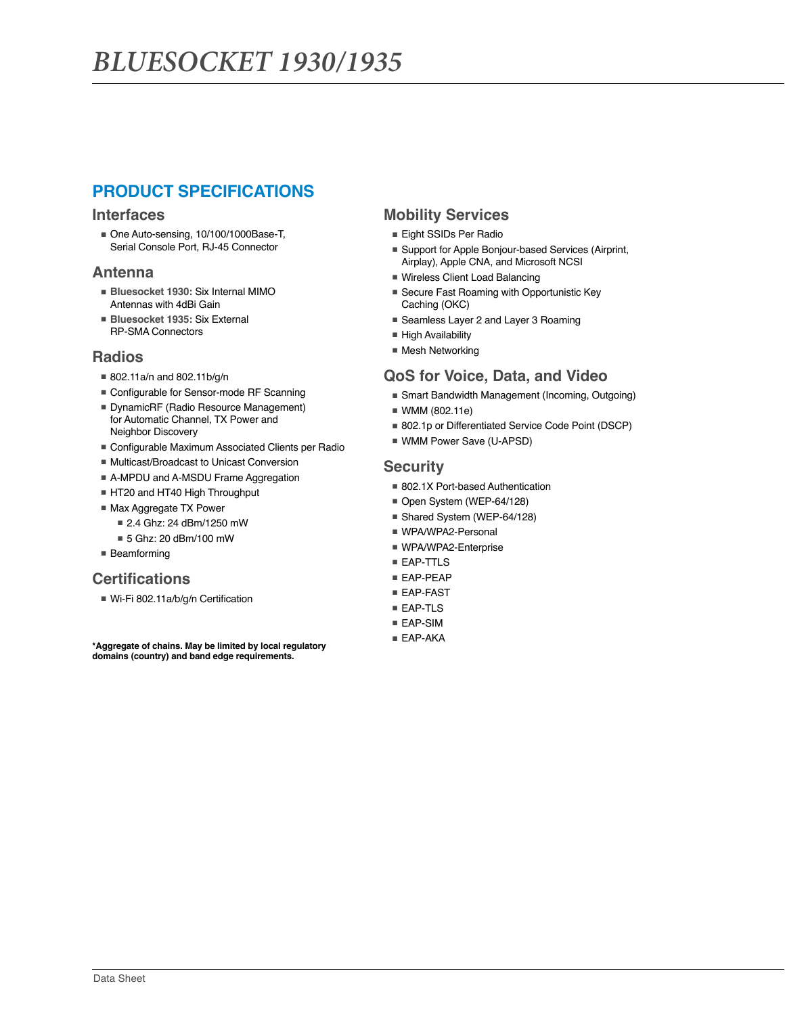## **PRODUCT SPECIFICATIONS**

#### **Interfaces**

■ One Auto-sensing, 10/100/1000Base-T, Serial Console Port, RJ-45 Connector

#### **Antenna**

- **Bluesocket 1930:** Six Internal MIMO Antennas with 4dBi Gain
- **Bluesocket 1935:** Six External RP-SMA Connectors

#### **Radios**

■ 802.11a/n and 802.11b/g/n

Neighbor Discovery

- Configurable for Sensor-mode RF Scanning ■ DynamicRF (Radio Resource Management) for Automatic Channel, TX Power and
- Configurable Maximum Associated Clients per Radio
- Multicast/Broadcast to Unicast Conversion
- A-MPDU and A-MSDU Frame Aggregation
- HT20 and HT40 High Throughput
- Max Aggregate TX Power
	- 2.4 Ghz: 24 dBm/1250 mW
	- 5 Ghz: 20 dBm/100 mW
- Beamforming

## **Certifications**

■ Wi-Fi 802.11a/b/g/n Certification

**\*Aggregate of chains. May be limited by local regulatory domains (country) and band edge requirements.**

## **Mobility Services**

- Eight SSIDs Per Radio
- Support for Apple Bonjour-based Services (Airprint, Airplay), Apple CNA, and Microsoft NCSI
- Wireless Client Load Balancing
- Secure Fast Roaming with Opportunistic Key Caching (OKC)
- Seamless Layer 2 and Layer 3 Roaming
- High Availability
- Mesh Networking

## **QoS for Voice, Data, and Video**

- Smart Bandwidth Management (Incoming, Outgoing)
- WMM (802.11e)
- 802.1p or Differentiated Service Code Point (DSCP)
- WMM Power Save (U-APSD)

#### **Security**

- 802.1X Port-based Authentication
- Open System (WEP-64/128)
- Shared System (WEP-64/128)
- WPA/WPA2-Personal
- WPA/WPA2-Enterprise
- EAP-TTLS
- EAP-PEAP
- EAP-FAST
- EAP-TLS
- EAP-SIM
- EAP-AKA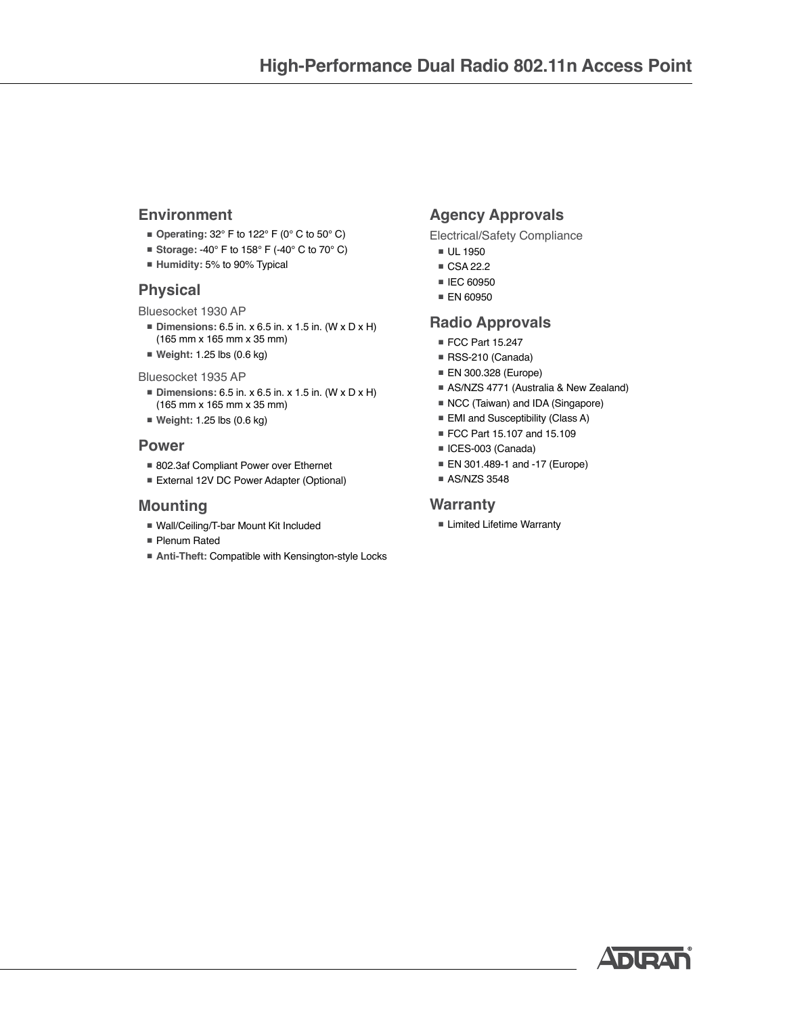## **Environment**

- **Operating:** 32° F to 122° F (0° C to 50° C)
- **Storage: -40° F to 158° F (-40° C to 70° C)**
- **Humidity:** 5% to 90% Typical

## **Physical**

Bluesocket 1930 AP

- **Dimensions:** 6.5 in. x 6.5 in. x 1.5 in. (W x D x H) (165 mm x 165 mm x 35 mm)
- **Weight:** 1.25 lbs (0.6 kg)

#### Bluesocket 1935 AP

- **Dimensions:** 6.5 in. x 6.5 in. x 1.5 in. (W x D x H) (165 mm x 165 mm x 35 mm)
- **Weight:** 1.25 lbs (0.6 kg)

#### **Power**

- 802.3af Compliant Power over Ethernet
- External 12V DC Power Adapter (Optional)

#### **Mounting**

- Wall/Ceiling/T-bar Mount Kit Included
- Plenum Rated
- **Anti-Theft: Compatible with Kensington-style Locks**

## **Agency Approvals**

Electrical/Safety Compliance

- UL 1950
- CSA 22.2
- IEC 60950
- EN 60950

## **Radio Approvals**

- FCC Part 15.247
- RSS-210 (Canada)
- ■ EN 300.328 (Europe)
- AS/NZS 4771 (Australia & New Zealand)
- NCC (Taiwan) and IDA (Singapore)
- EMI and Susceptibility (Class A)
- FCC Part 15.107 and 15.109
- ICES-003 (Canada)
- EN 301.489-1 and -17 (Europe)
- AS/NZS 3548

#### **Warranty**

■ Limited Lifetime Warranty

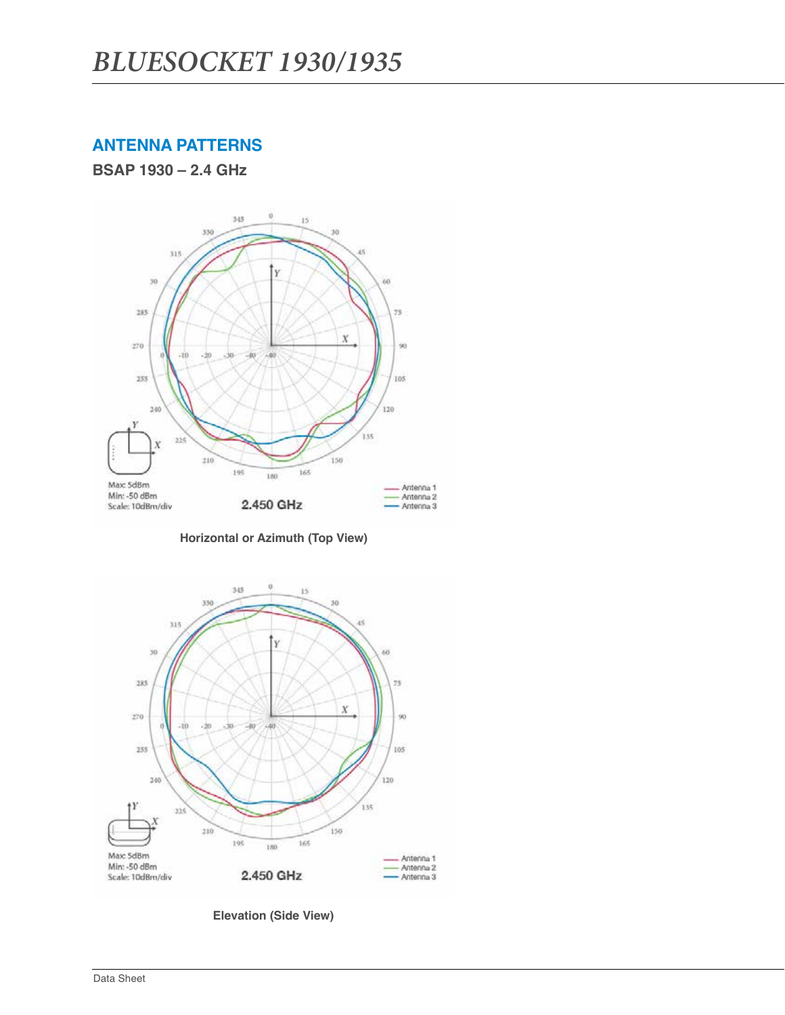## **ANTENNA PATTERNS**

**BSAP 1930 – 2.4 GHz**



**Horizontal or Azimuth (Top View)**



**Elevation (Side View)**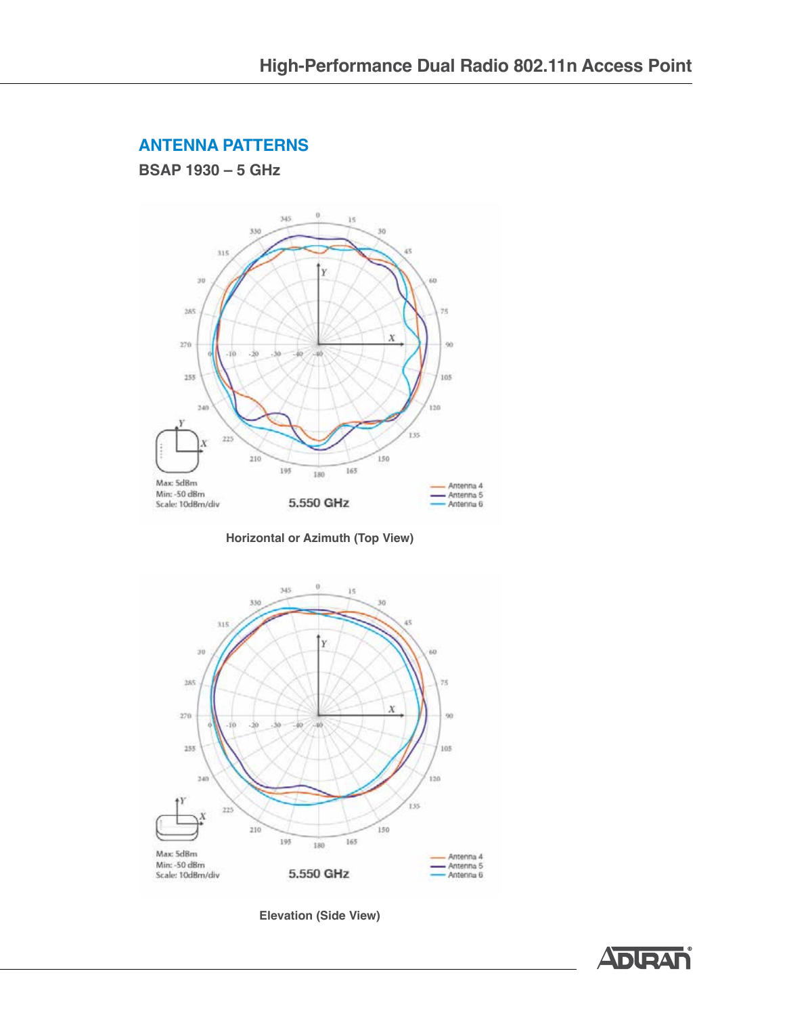## **ANTENNA PATTERNS**

**BSAP 1930 – 5 GHz**



**Horizontal or Azimuth (Top View)**



**Elevation (Side View)**

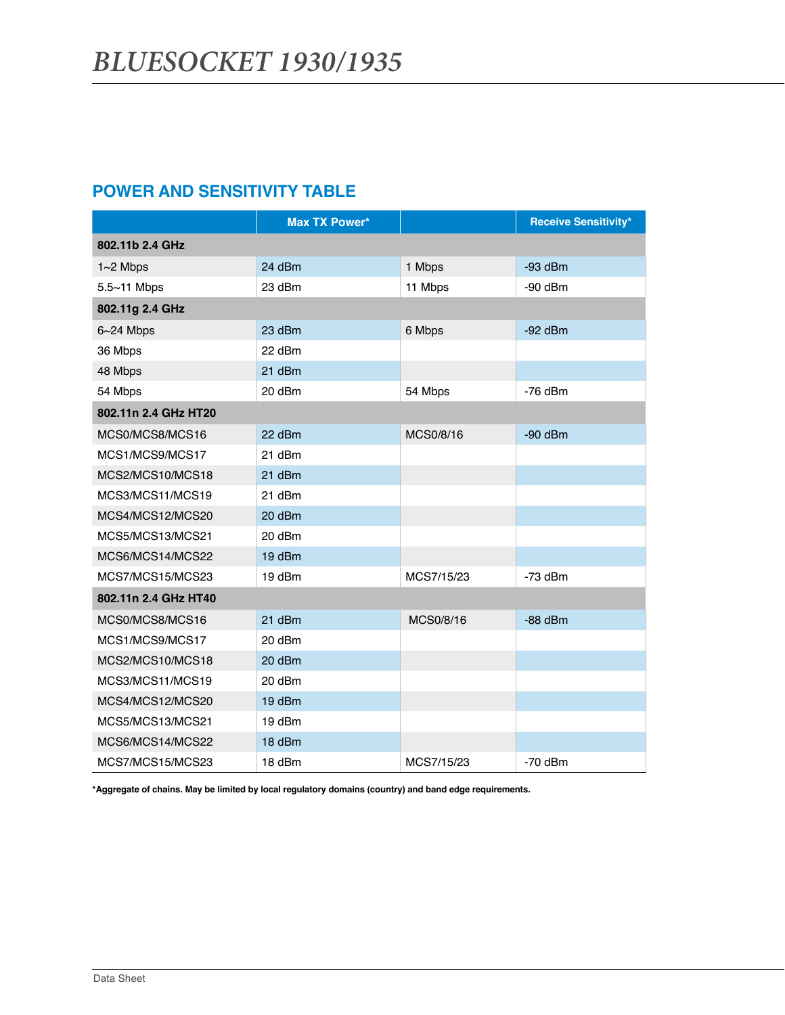## **POWER AND SENSITIVITY TABLE**

|                      | <b>Max TX Power*</b> |            | <b>Receive Sensitivity*</b> |
|----------------------|----------------------|------------|-----------------------------|
| 802.11b 2.4 GHz      |                      |            |                             |
| $1~2$ Mbps           | 24 dBm               | 1 Mbps     | $-93$ dBm                   |
| $5.5 - 11$ Mbps      | 23 dBm               | 11 Mbps    | $-90$ dBm                   |
| 802.11g 2.4 GHz      |                      |            |                             |
| $6 - 24$ Mbps        | 23 dBm               | 6 Mbps     | $-92$ dBm                   |
| 36 Mbps              | 22 dBm               |            |                             |
| 48 Mbps              | 21 dBm               |            |                             |
| 54 Mbps              | 20 dBm               | 54 Mbps    | $-76$ dBm                   |
| 802.11n 2.4 GHz HT20 |                      |            |                             |
| MCS0/MCS8/MCS16      | 22 dBm               | MCS0/8/16  | $-90$ dBm                   |
| MCS1/MCS9/MCS17      | 21 dBm               |            |                             |
| MCS2/MCS10/MCS18     | 21 dBm               |            |                             |
| MCS3/MCS11/MCS19     | 21 dBm               |            |                             |
| MCS4/MCS12/MCS20     | 20 dBm               |            |                             |
| MCS5/MCS13/MCS21     | 20 dBm               |            |                             |
| MCS6/MCS14/MCS22     | 19 dBm               |            |                             |
| MCS7/MCS15/MCS23     | 19 dBm               | MCS7/15/23 | $-73$ dBm                   |
| 802.11n 2.4 GHz HT40 |                      |            |                             |
| MCS0/MCS8/MCS16      | 21 dBm               | MCS0/8/16  | $-88$ dBm                   |
| MCS1/MCS9/MCS17      | 20 dBm               |            |                             |
| MCS2/MCS10/MCS18     | 20 dBm               |            |                             |
| MCS3/MCS11/MCS19     | 20 dBm               |            |                             |
| MCS4/MCS12/MCS20     | 19 dBm               |            |                             |
| MCS5/MCS13/MCS21     | 19 dBm               |            |                             |
| MCS6/MCS14/MCS22     | 18 dBm               |            |                             |
| MCS7/MCS15/MCS23     | 18 dBm               | MCS7/15/23 | $-70$ dBm                   |

**\*Aggregate of chains. May be limited by local regulatory domains (country) and band edge requirements.**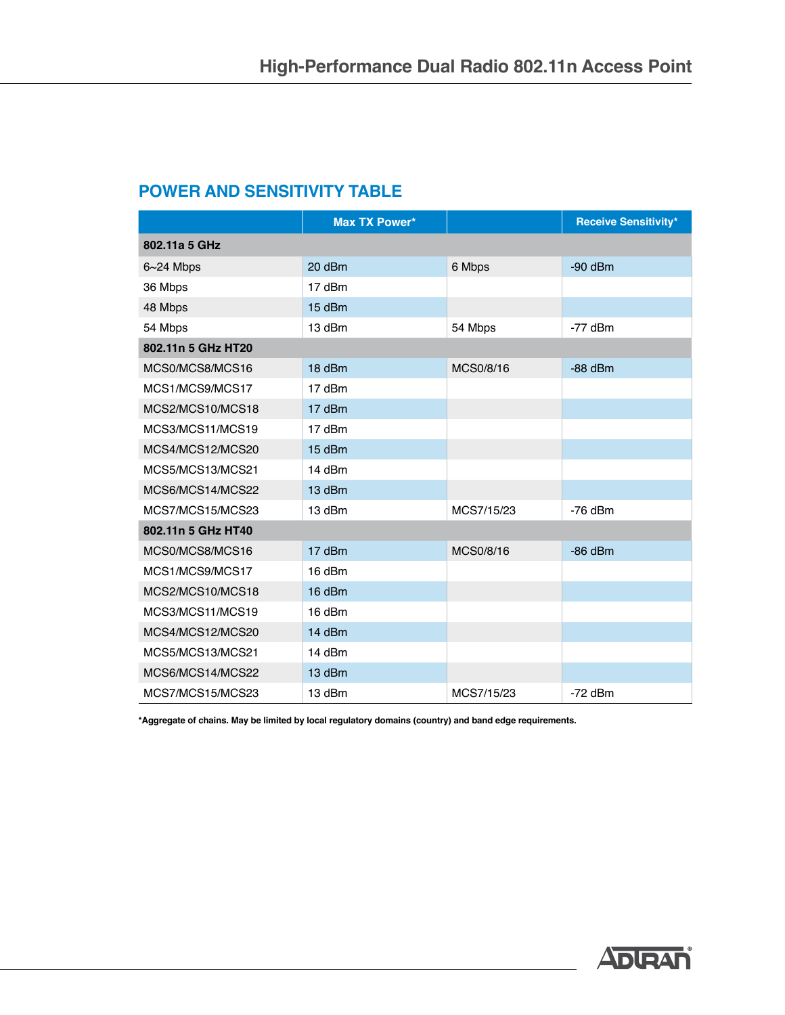## **POWER AND SENSITIVITY TABLE**

|                    | <b>Max TX Power*</b> |            | <b>Receive Sensitivity*</b> |
|--------------------|----------------------|------------|-----------------------------|
| 802.11a 5 GHz      |                      |            |                             |
| $6 - 24$ Mbps      | 20 dBm               | 6 Mbps     | $-90$ dBm                   |
| 36 Mbps            | 17 dBm               |            |                             |
| 48 Mbps            | 15 dBm               |            |                             |
| 54 Mbps            | 13 dBm               | 54 Mbps    | $-77$ dBm                   |
| 802.11n 5 GHz HT20 |                      |            |                             |
| MCS0/MCS8/MCS16    | 18 dBm               | MCS0/8/16  | $-88$ dBm                   |
| MCS1/MCS9/MCS17    | 17 dBm               |            |                             |
| MCS2/MCS10/MCS18   | 17 dBm               |            |                             |
| MCS3/MCS11/MCS19   | 17 dBm               |            |                             |
| MCS4/MCS12/MCS20   | 15 dBm               |            |                             |
| MCS5/MCS13/MCS21   | 14 dBm               |            |                             |
| MCS6/MCS14/MCS22   | 13 dBm               |            |                             |
| MCS7/MCS15/MCS23   | 13 dBm               | MCS7/15/23 | $-76$ dBm                   |
| 802.11n 5 GHz HT40 |                      |            |                             |
| MCS0/MCS8/MCS16    | 17 dBm               | MCS0/8/16  | $-86$ dBm                   |
| MCS1/MCS9/MCS17    | 16 dBm               |            |                             |
| MCS2/MCS10/MCS18   | 16 dBm               |            |                             |
| MCS3/MCS11/MCS19   | 16 dBm               |            |                             |
| MCS4/MCS12/MCS20   | 14 dBm               |            |                             |
| MCS5/MCS13/MCS21   | 14 dBm               |            |                             |
| MCS6/MCS14/MCS22   | 13 dBm               |            |                             |
| MCS7/MCS15/MCS23   | 13 dBm               | MCS7/15/23 | $-72$ dBm                   |

**\*Aggregate of chains. May be limited by local regulatory domains (country) and band edge requirements.**